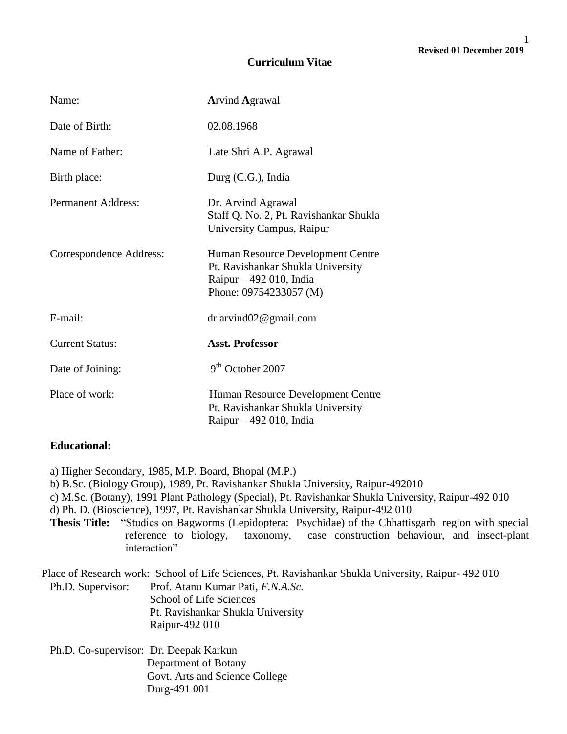## **Curriculum Vitae**

| Name:                     | <b>Arvind Agrawal</b>                                                                                                        |
|---------------------------|------------------------------------------------------------------------------------------------------------------------------|
| Date of Birth:            | 02.08.1968                                                                                                                   |
| Name of Father:           | Late Shri A.P. Agrawal                                                                                                       |
| Birth place:              | Durg $(C.G.)$ , India                                                                                                        |
| <b>Permanent Address:</b> | Dr. Arvind Agrawal<br>Staff Q. No. 2, Pt. Ravishankar Shukla<br>University Campus, Raipur                                    |
| Correspondence Address:   | Human Resource Development Centre<br>Pt. Ravishankar Shukla University<br>Raipur $-492$ 010, India<br>Phone: 09754233057 (M) |
| E-mail:                   | $dr.$ arvind $02@$ gmail.com                                                                                                 |
| <b>Current Status:</b>    | <b>Asst. Professor</b>                                                                                                       |
| Date of Joining:          | $9th$ October 2007                                                                                                           |
| Place of work:            | Human Resource Development Centre<br>Pt. Ravishankar Shukla University<br>Raipur $-492$ 010, India                           |

# **Educational:**

a) Higher Secondary, 1985, M.P. Board, Bhopal (M.P.)

b) B.Sc. (Biology Group), 1989, Pt. Ravishankar Shukla University, Raipur-492010

c) M.Sc. (Botany), 1991 Plant Pathology (Special), Pt. Ravishankar Shukla University, Raipur-492 010

d) Ph. D. (Bioscience), 1997, Pt. Ravishankar Shukla University, Raipur-492 010

**Thesis Title:** "Studies on Bagworms (Lepidoptera: Psychidae) of the Chhattisgarh region with special reference to biology, taxonomy, case construction behaviour, and insect-plant interaction"

Place of Research work: School of Life Sciences, Pt. Ravishankar Shukla University, Raipur- 492 010 Ph.D. Supervisor: Prof. Atanu Kumar Pati, *F.N.A.Sc.* School of Life Sciences Pt. Ravishankar Shukla University Raipur-492 010

Ph.D. Co-supervisor: Dr. Deepak Karkun Department of Botany Govt. Arts and Science College Durg-491 001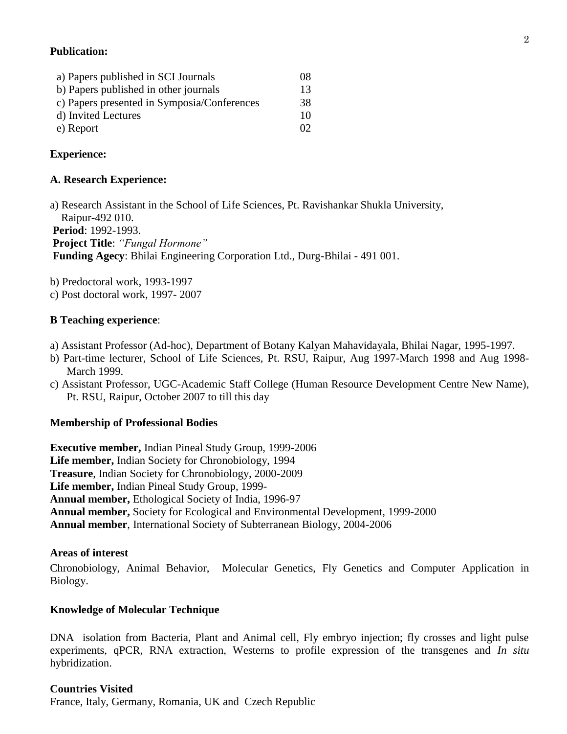# **Publication:**

| a) Papers published in SCI Journals         | $^{08}$  |
|---------------------------------------------|----------|
| b) Papers published in other journals       | 13       |
| c) Papers presented in Symposia/Conferences | 38       |
| d) Invited Lectures                         | 10       |
| e) Report                                   | $\Omega$ |

# **Experience:**

## **A. Research Experience:**

a) Research Assistant in the School of Life Sciences, Pt. Ravishankar Shukla University, Raipur-492 010.

**Period**: 1992-1993. **Project Title**: *"Fungal Hormone"* **Funding Agecy**: Bhilai Engineering Corporation Ltd., Durg-Bhilai - 491 001.

b) Predoctoral work, 1993-1997

c) Post doctoral work, 1997- 2007

# **B Teaching experience**:

- a) Assistant Professor (Ad-hoc), Department of Botany Kalyan Mahavidayala, Bhilai Nagar, 1995-1997.
- b) Part-time lecturer, School of Life Sciences, Pt. RSU, Raipur, Aug 1997-March 1998 and Aug 1998- March 1999.
- c) Assistant Professor, UGC-Academic Staff College (Human Resource Development Centre New Name), Pt. RSU, Raipur, October 2007 to till this day

## **Membership of Professional Bodies**

**Executive member,** Indian Pineal Study Group, 1999-2006 **Life member,** Indian Society for Chronobiology, 1994 **Treasure**, Indian Society for Chronobiology, 2000-2009 **Life member,** Indian Pineal Study Group, 1999- **Annual member,** Ethological Society of India, 1996-97 **Annual member,** Society for Ecological and Environmental Development, 1999-2000 **Annual member**, International Society of Subterranean Biology, 2004-2006

## **Areas of interest**

Chronobiology, Animal Behavior, Molecular Genetics, Fly Genetics and Computer Application in Biology.

## **Knowledge of Molecular Technique**

DNA isolation from Bacteria, Plant and Animal cell, Fly embryo injection; fly crosses and light pulse experiments, qPCR, RNA extraction, Westerns to profile expression of the transgenes and *In situ*  hybridization.

## **Countries Visited**

France, Italy, Germany, Romania, UK and Czech Republic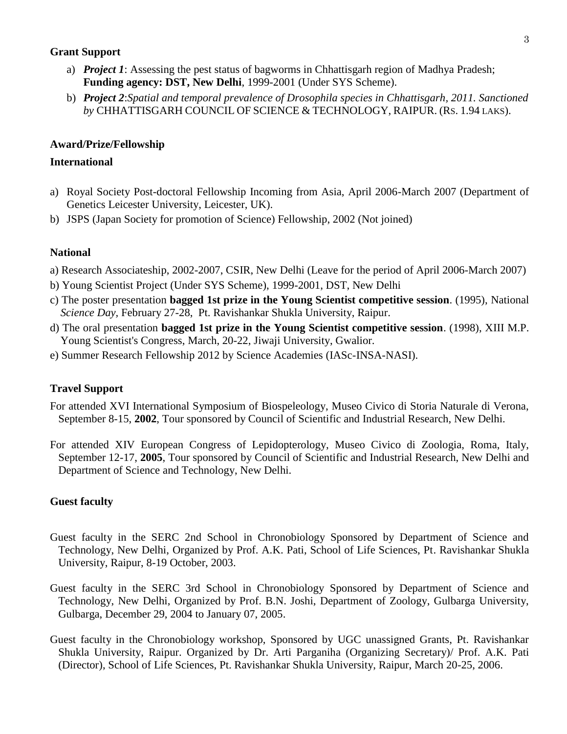# **Grant Support**

- a) *Project 1*: Assessing the pest status of bagworms in Chhattisgarh region of Madhya Pradesh; **Funding agency: DST, New Delhi**, 1999-2001 (Under SYS Scheme).
- b) *Project 2*:*Spatial and temporal prevalence of Drosophila species in Chhattisgarh, 2011. Sanctioned by* CHHATTISGARH COUNCIL OF SCIENCE & TECHNOLOGY, RAIPUR. (RS. 1.94 LAKS).

## **Award/Prize/Fellowship**

# **International**

- a) Royal Society Post-doctoral Fellowship Incoming from Asia, April 2006-March 2007 (Department of Genetics Leicester University, Leicester, UK).
- b) JSPS (Japan Society for promotion of Science) Fellowship, 2002 (Not joined)

## **National**

- a) Research Associateship, 2002-2007, CSIR, New Delhi (Leave for the period of April 2006-March 2007)
- b) Young Scientist Project (Under SYS Scheme), 1999-2001, DST, New Delhi
- c) The poster presentation **bagged 1st prize in the Young Scientist competitive session**. (1995), National *Science Day,* February 27-28, Pt. Ravishankar Shukla University, Raipur.
- d) The oral presentation **bagged 1st prize in the Young Scientist competitive session**. (1998), XIII M.P. Young Scientist's Congress, March, 20-22, Jiwaji University, Gwalior.
- e) Summer Research Fellowship 2012 by Science Academies (IASc-INSA-NASI).

# **Travel Support**

- For attended XVI International Symposium of Biospeleology, Museo Civico di Storia Naturale di Verona, September 8-15, **2002**, Tour sponsored by Council of Scientific and Industrial Research, New Delhi.
- For attended XIV European Congress of Lepidopterology, Museo Civico di Zoologia, Roma, Italy, September 12-17, **2005**, Tour sponsored by Council of Scientific and Industrial Research, New Delhi and Department of Science and Technology, New Delhi.

# **Guest faculty**

- Guest faculty in the SERC 2nd School in Chronobiology Sponsored by Department of Science and Technology, New Delhi, Organized by Prof. A.K. Pati, School of Life Sciences, Pt. Ravishankar Shukla University, Raipur, 8-19 October, 2003.
- Guest faculty in the SERC 3rd School in Chronobiology Sponsored by Department of Science and Technology, New Delhi, Organized by Prof. B.N. Joshi, Department of Zoology, Gulbarga University, Gulbarga, December 29, 2004 to January 07, 2005.
- Guest faculty in the Chronobiology workshop, Sponsored by UGC unassigned Grants, Pt. Ravishankar Shukla University, Raipur. Organized by Dr. Arti Parganiha (Organizing Secretary)/ Prof. A.K. Pati (Director), School of Life Sciences, Pt. Ravishankar Shukla University, Raipur, March 20-25, 2006.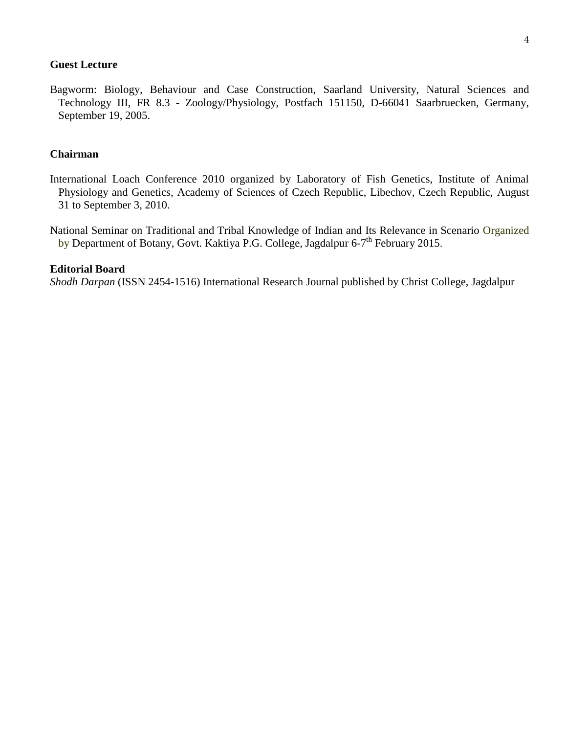## **Guest Lecture**

Bagworm: Biology, Behaviour and Case Construction, Saarland University, Natural Sciences and Technology III, FR 8.3 - Zoology/Physiology, Postfach 151150, D-66041 Saarbruecken, Germany, September 19, 2005.

## **Chairman**

International Loach Conference 2010 organized by Laboratory of Fish Genetics, Institute of Animal Physiology and Genetics, Academy of Sciences of Czech Republic, Libechov, Czech Republic, August 31 to September 3, 2010.

National Seminar on Traditional and Tribal Knowledge of Indian and Its Relevance in Scenario Organized by Department of Botany, Govt. Kaktiya P.G. College, Jagdalpur 6-7<sup>th</sup> February 2015.

#### **Editorial Board**

*Shodh Darpan* (ISSN 2454-1516) International Research Journal published by Christ College, Jagdalpur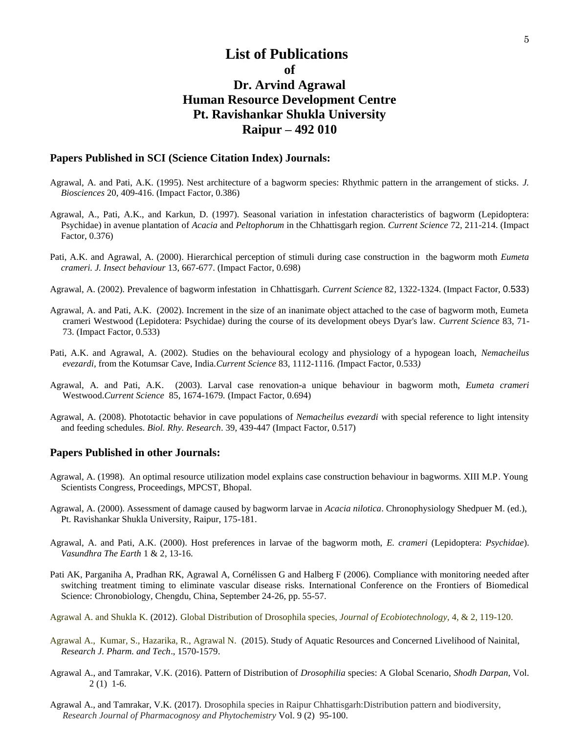# **List of Publications of Dr. Arvind Agrawal Human Resource Development Centre Pt. Ravishankar Shukla University Raipur – 492 010**

#### **Papers Published in SCI (Science Citation Index) Journals:**

- Agrawal, A. and Pati, A.K. (1995). Nest architecture of a bagworm species: Rhythmic pattern in the arrangement of sticks. *J. Biosciences* 20, 409-416. (Impact Factor, 0.386)
- Agrawal, A., Pati, A.K., and Karkun, D. (1997). Seasonal variation in infestation characteristics of bagworm (Lepidoptera: Psychidae) in avenue plantation of *Acacia* and *Peltophorum* in the Chhattisgarh region. *Current Science* 72, 211-214. (Impact Factor, 0.376)
- Pati, A.K. and Agrawal, A. (2000). Hierarchical perception of stimuli during case construction in the bagworm moth *Eumeta crameri. J. Insect behaviour* 13, 667-677. (Impact Factor, 0.698)
- Agrawal, A. (2002). Prevalence of bagworm infestation in Chhattisgarh. *Current Science* 82, 1322-1324. (Impact Factor, 0.533)
- Agrawal, A. and Pati, A.K. (2002). Increment in the size of an inanimate object attached to the case of bagworm moth, Eumeta crameri Westwood (Lepidotera: Psychidae) during the course of its development obeys Dyar's law. *Current Science* 83, 71- 73. (Impact Factor, 0.533)
- Pati, A.K. and Agrawal, A. (2002). Studies on the behavioural ecology and physiology of a hypogean loach, *Nemacheilus evezardi,* from the Kotumsar Cave, India*.Current Science* 83*,* 1112-1116*. (*Impact Factor, 0.533*)*
- Agrawal, A. and Pati, A.K. (2003). Larval case renovation-a unique behaviour in bagworm moth, *Eumeta crameri* Westwood.*Current Science* 85, 1674-1679*.* (Impact Factor, 0.694)
- Agrawal, A. (2008). Phototactic behavior in cave populations of *Nemacheilus evezardi* with special reference to light intensity and feeding schedules. *Biol. Rhy. Research*. 39, 439-447 (Impact Factor, 0.517)

#### **Papers Published in other Journals:**

- Agrawal, A. (1998). An optimal resource utilization model explains case construction behaviour in bagworms. XIII M.P. Young Scientists Congress, Proceedings, MPCST, Bhopal.
- Agrawal, A. (2000). Assessment of damage caused by bagworm larvae in *Acacia nilotica*. Chronophysiology Shedpuer M. (ed.), Pt. Ravishankar Shukla University, Raipur, 175-181.
- Agrawal, A. and Pati, A.K. (2000). Host preferences in larvae of the bagworm moth, *E. crameri* (Lepidoptera: *Psychidae*). *Vasundhra The Earth* 1 & 2, 13-16*.*
- Pati AK, Parganiha A, Pradhan RK, Agrawal A, Cornélissen G and Halberg F (2006). Compliance with monitoring needed after switching treatment timing to eliminate vascular disease risks. International Conference on the Frontiers of Biomedical Science: Chronobiology, Chengdu, China, September 24-26, pp. 55-57.
- Agrawal A. and Shukla K. (2012). Global Distribution of Drosophila species, *Journal of Ecobiotechnology,* 4, & 2, 119-120.
- Agrawal A., Kumar, S., Hazarika, R., Agrawal N. (2015). Study of Aquatic Resources and Concerned Livelihood of Nainital, *Research J. Pharm. and Tech*., 1570-1579.
- Agrawal A., and Tamrakar, V.K. (2016). Pattern of Distribution of *Drosophilia* species: A Global Scenario, *Shodh Darpan*, Vol. 2 (1) 1-6.
- Agrawal A., and Tamrakar, V.K. (2017). Drosophila species in Raipur Chhattisgarh:Distribution pattern and biodiversity, *Research Journal of Pharmacognosy and Phytochemistry* Vol. 9 (2) 95-100.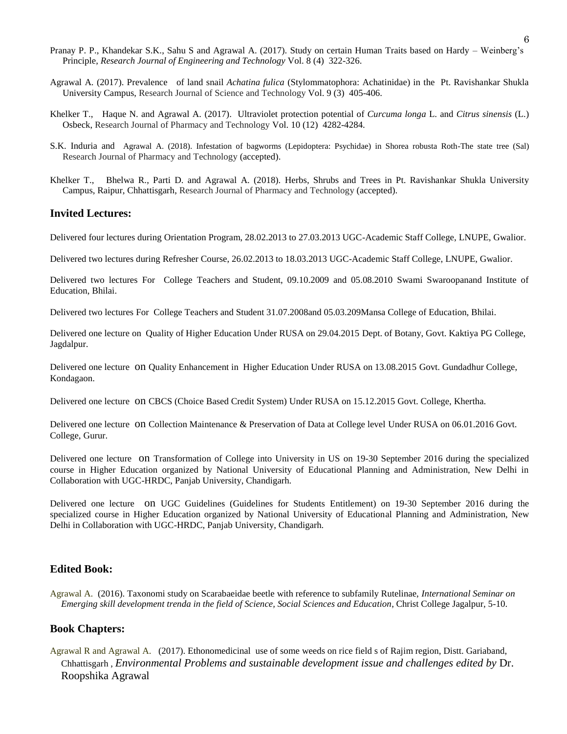- Pranay P. P., Khandekar S.K., Sahu S and Agrawal A. (2017). Study on certain Human Traits based on Hardy Weinberg's Principle, *Research Journal of Engineering and Technology* Vol. 8 (4) 322-326.
- Agrawal A. (2017). Prevalence of land snail *Achatina fulica* (Stylommatophora: Achatinidae) in the Pt. Ravishankar Shukla University Campus, Research Journal of Science and Technology Vol. 9 (3) 405-406.
- Khelker T., Haque N. and Agrawal A. (2017). Ultraviolet protection potential of *Curcuma longa* L. and *Citrus sinensis* (L.) Osbeck, Research Journal of Pharmacy and Technology Vol. 10 (12) 4282-4284.
- S.K. Induria and Agrawal A. (2018). Infestation of bagworms (Lepidoptera: Psychidae) in Shorea robusta Roth-The state tree (Sal) Research Journal of Pharmacy and Technology (accepted).
- Khelker T., Bhelwa R., Parti D. and Agrawal A. (2018). Herbs, Shrubs and Trees in Pt. Ravishankar Shukla University Campus, Raipur, Chhattisgarh, Research Journal of Pharmacy and Technology (accepted).

#### **Invited Lectures:**

Delivered four lectures during Orientation Program, 28.02.2013 to 27.03.2013 UGC-Academic Staff College, LNUPE, Gwalior.

Delivered two lectures during Refresher Course, 26.02.2013 to 18.03.2013 UGC-Academic Staff College, LNUPE, Gwalior.

Delivered two lectures For College Teachers and Student, 09.10.2009 and 05.08.2010 Swami Swaroopanand Institute of Education, Bhilai.

Delivered two lectures For College Teachers and Student 31.07.2008and 05.03.209Mansa College of Education, Bhilai.

Delivered one lecture on Quality of Higher Education Under RUSA on 29.04.2015 Dept. of Botany, Govt. Kaktiya PG College, Jagdalpur.

Delivered one lecture on Quality Enhancement in Higher Education Under RUSA on 13.08.2015 Govt. Gundadhur College, Kondagaon.

Delivered one lecture on CBCS (Choice Based Credit System) Under RUSA on 15.12.2015 Govt. College, Khertha.

Delivered one lecture on Collection Maintenance & Preservation of Data at College level Under RUSA on 06.01.2016 Govt. College, Gurur.

Delivered one lecture on Transformation of College into University in US on 19-30 September 2016 during the specialized course in Higher Education organized by National University of Educational Planning and Administration, New Delhi in Collaboration with UGC-HRDC, Panjab University, Chandigarh.

Delivered one lecture on UGC Guidelines (Guidelines for Students Entitlement) on 19-30 September 2016 during the specialized course in Higher Education organized by National University of Educational Planning and Administration, New Delhi in Collaboration with UGC-HRDC, Panjab University, Chandigarh.

#### **Edited Book:**

Agrawal A. (2016). Taxonomi study on Scarabaeidae beetle with reference to subfamily Rutelinae, *International Seminar on Emerging skill development trenda in the field of Science, Social Sciences and Education*, Christ College Jagalpur, 5-10.

#### **Book Chapters:**

Agrawal R and Agrawal A. (2017). Ethonomedicinal use of some weeds on rice field s of Rajim region, Distt. Gariaband, Chhattisgarh , *Environmental Problems and sustainable development issue and challenges edited by* Dr. Roopshika Agrawal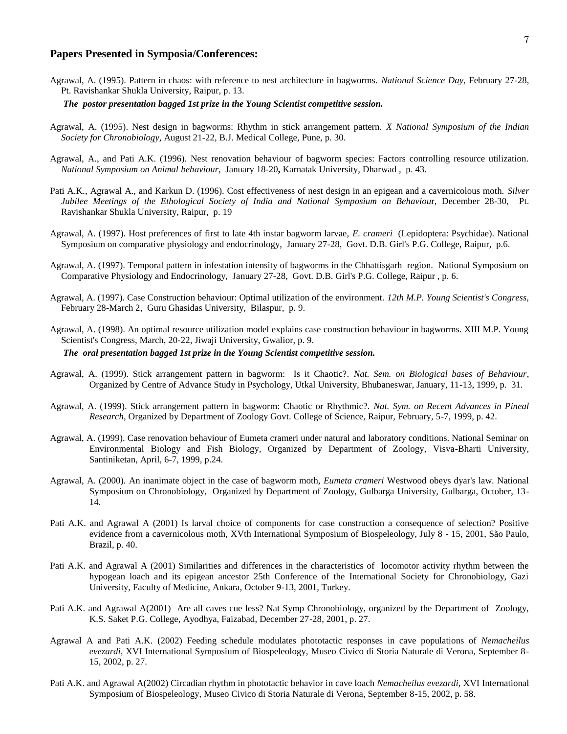#### **Papers Presented in Symposia/Conferences:**

Agrawal, A. (1995). Pattern in chaos: with reference to nest architecture in bagworms. *National Science Day,* February 27-28, Pt. Ravishankar Shukla University, Raipur, p. 13.

#### *The postor presentation bagged 1st prize in the Young Scientist competitive session.*

- Agrawal, A. (1995). Nest design in bagworms: Rhythm in stick arrangement pattern. *X National Symposium of the Indian Society for Chronobiology,* August 21-22, B.J. Medical College, Pune, p. 30.
- Agrawal, A., and Pati A.K. (1996). Nest renovation behaviour of bagworm species: Factors controlling resource utilization. *National Symposium on Animal behaviour,* January 18-20**,** Karnatak University, Dharwad , p. 43.
- Pati A.K., Agrawal A., and Karkun D. (1996). Cost effectiveness of nest design in an epigean and a cavernicolous moth. *Silver Jubilee Meetings of the Ethological Society of India and National Symposium on Behaviou*r, December 28-30, Pt. Ravishankar Shukla University, Raipur, p. 19
- Agrawal, A. (1997). Host preferences of first to late 4th instar bagworm larvae, *E. crameri* (Lepidoptera: Psychidae). National Symposium on comparative physiology and endocrinology, January 27-28, Govt. D.B. Girl's P.G. College, Raipur, p.6.
- Agrawal, A. (1997). Temporal pattern in infestation intensity of bagworms in the Chhattisgarh region. National Symposium on Comparative Physiology and Endocrinology, January 27-28, Govt. D.B. Girl's P.G. College, Raipur , p. 6.
- Agrawal, A. (1997). Case Construction behaviour: Optimal utilization of the environment. *12th M.P. Young Scientist's Congress,* February 28-March 2, Guru Ghasidas University, Bilaspur, p. 9.
- Agrawal, A. (1998). An optimal resource utilization model explains case construction behaviour in bagworms. XIII M.P. Young Scientist's Congress, March, 20-22, Jiwaji University, Gwalior, p. 9.

#### *The oral presentation bagged 1st prize in the Young Scientist competitive session.*

- Agrawal, A. (1999). Stick arrangement pattern in bagworm: Is it Chaotic?. *Nat. Sem. on Biological bases of Behaviour*, Organized by Centre of Advance Study in Psychology, Utkal University, Bhubaneswar, January, 11-13, 1999, p. 31.
- Agrawal, A. (1999). Stick arrangement pattern in bagworm: Chaotic or Rhythmic?. *Nat. Sym. on Recent Advances in Pineal Research*, Organized by Department of Zoology Govt. College of Science, Raipur, February, 5-7, 1999, p. 42.
- Agrawal, A. (1999). Case renovation behaviour of Eumeta crameri under natural and laboratory conditions. National Seminar on Environmental Biology and Fish Biology, Organized by Department of Zoology, Visva-Bharti University, Santiniketan, April, 6-7, 1999, p.24.
- Agrawal, A. (2000). An inanimate object in the case of bagworm moth, *Eumeta crameri* Westwood obeys dyar's law. National Symposium on Chronobiology, Organized by Department of Zoology, Gulbarga University, Gulbarga, October, 13- 14.
- Pati A.K. and Agrawal A (2001) Is larval choice of components for case construction a consequence of selection? Positive evidence from a cavernicolous moth, XVth International Symposium of Biospeleology, July 8 - 15, 2001, São Paulo, Brazil, p. 40.
- Pati A.K. and Agrawal A (2001) Similarities and differences in the characteristics of locomotor activity rhythm between the hypogean loach and its epigean ancestor 25th Conference of the International Society for Chronobiology, Gazi University, Faculty of Medicine, Ankara, October 9-13, 2001, Turkey.
- Pati A.K. and Agrawal A(2001) Are all caves cue less? Nat Symp Chronobiology, organized by the Department of Zoology, K.S. Saket P.G. College, Ayodhya, Faizabad, December 27-28, 2001, p. 27.
- Agrawal A and Pati A.K. (2002) Feeding schedule modulates phototactic responses in cave populations of *Nemacheilus evezardi,* XVI International Symposium of Biospeleology, Museo Civico di Storia Naturale di Verona, September 8- 15, 2002, p. 27.
- Pati A.K. and Agrawal A(2002) Circadian rhythm in phototactic behavior in cave loach *Nemacheilus evezardi,* XVI International Symposium of Biospeleology, Museo Civico di Storia Naturale di Verona, September 8-15, 2002, p. 58.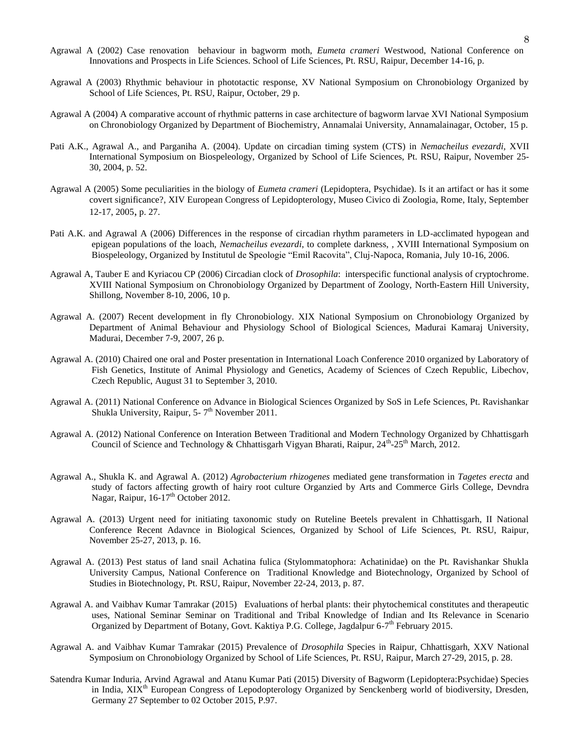- Agrawal A (2002) Case renovation behaviour in bagworm moth, *Eumeta crameri* Westwood, National Conference on Innovations and Prospects in Life Sciences. School of Life Sciences, Pt. RSU, Raipur, December 14-16, p.
- Agrawal A (2003) Rhythmic behaviour in phototactic response, XV National Symposium on Chronobiology Organized by School of Life Sciences, Pt. RSU, Raipur, October, 29 p.
- Agrawal A (2004) A comparative account of rhythmic patterns in case architecture of bagworm larvae XVI National Symposium on Chronobiology Organized by Department of Biochemistry, Annamalai University, Annamalainagar, October, 15 p.
- Pati A.K., Agrawal A., and Parganiha A. (2004). Update on circadian timing system (CTS) in *Nemacheilus evezardi,* XVII International Symposium on Biospeleology, Organized by School of Life Sciences, Pt. RSU, Raipur, November 25- 30, 2004, p. 52.
- Agrawal A (2005) Some peculiarities in the biology of *Eumeta crameri* (Lepidoptera, Psychidae). Is it an artifact or has it some covert significance?*,* XIV European Congress of Lepidopterology, Museo Civico di Zoologia, Rome, Italy, September 12-17, 2005, p. 27.
- Pati A.K. and Agrawal A (2006) Differences in the response of circadian rhythm parameters in LD-acclimated hypogean and epigean populations of the loach, *Nemacheilus evezardi*, to complete darkness, *,* XVIII International Symposium on Biospeleology, Organized by Institutul de Speologie "Emil Racovita", Cluj-Napoca, Romania, July 10-16, 2006.
- Agrawal A, Tauber E and Kyriacou CP (2006) Circadian clock of *Drosophila*: interspecific functional analysis of cryptochrome. XVIII National Symposium on Chronobiology Organized by Department of Zoology, North-Eastern Hill University, Shillong, November 8-10, 2006, 10 p.
- Agrawal A. (2007) Recent development in fly Chronobiology. XIX National Symposium on Chronobiology Organized by Department of Animal Behaviour and Physiology School of Biological Sciences, Madurai Kamaraj University, Madurai, December 7-9, 2007, 26 p.
- Agrawal A. (2010) Chaired one oral and Poster presentation in International Loach Conference 2010 organized by Laboratory of Fish Genetics, Institute of Animal Physiology and Genetics, Academy of Sciences of Czech Republic, Libechov, Czech Republic, August 31 to September 3, 2010.
- Agrawal A. (2011) National Conference on Advance in Biological Sciences Organized by SoS in Lefe Sciences, Pt. Ravishankar Shukla University, Raipur, 5- $7<sup>th</sup>$  November 2011.
- Agrawal A. (2012) National Conference on Interation Between Traditional and Modern Technology Organized by Chhattisgarh Council of Science and Technology & Chhattisgarh Vigyan Bharati, Raipur, 24<sup>th</sup>-25<sup>th</sup> March, 2012.
- Agrawal A., Shukla K. and Agrawal A. (2012) *Agrobacterium rhizogenes* mediated gene transformation in *Tagetes erecta* and study of factors affecting growth of hairy root culture Organzied by Arts and Commerce Girls College, Devndra Nagar, Raipur, 16-17<sup>th</sup> October 2012.
- Agrawal A. (2013) Urgent need for initiating taxonomic study on Ruteline Beetels prevalent in Chhattisgarh, II National Conference Recent Adavnce in Biological Sciences, Organized by School of Life Sciences, Pt. RSU, Raipur, November 25-27, 2013, p. 16.
- Agrawal A. (2013) Pest status of land snail Achatina fulica (Stylommatophora: Achatinidae) on the Pt. Ravishankar Shukla University Campus, National Conference on Traditional Knowledge and Biotechnology, Organized by School of Studies in Biotechnology, Pt. RSU, Raipur, November 22-24, 2013, p. 87.
- Agrawal A. and Vaibhav Kumar Tamrakar (2015) Evaluations of herbal plants: their phytochemical constitutes and therapeutic uses, National Seminar Seminar on Traditional and Tribal Knowledge of Indian and Its Relevance in Scenario Organized by Department of Botany, Govt. Kaktiya P.G. College, Jagdalpur 6-7<sup>th</sup> February 2015.
- Agrawal A. and Vaibhav Kumar Tamrakar (2015) Prevalence of *Drosophila* Species in Raipur, Chhattisgarh, XXV National Symposium on Chronobiology Organized by School of Life Sciences, Pt. RSU, Raipur, March 27-29, 2015, p. 28.
- Satendra Kumar Induria, Arvind Agrawal and Atanu Kumar Pati (2015) Diversity of Bagworm (Lepidoptera:Psychidae) Species in India, XIX<sup>th</sup> European Congress of Lepodopterology Organized by Senckenberg world of biodiversity, Dresden, Germany 27 September to 02 October 2015, P.97.